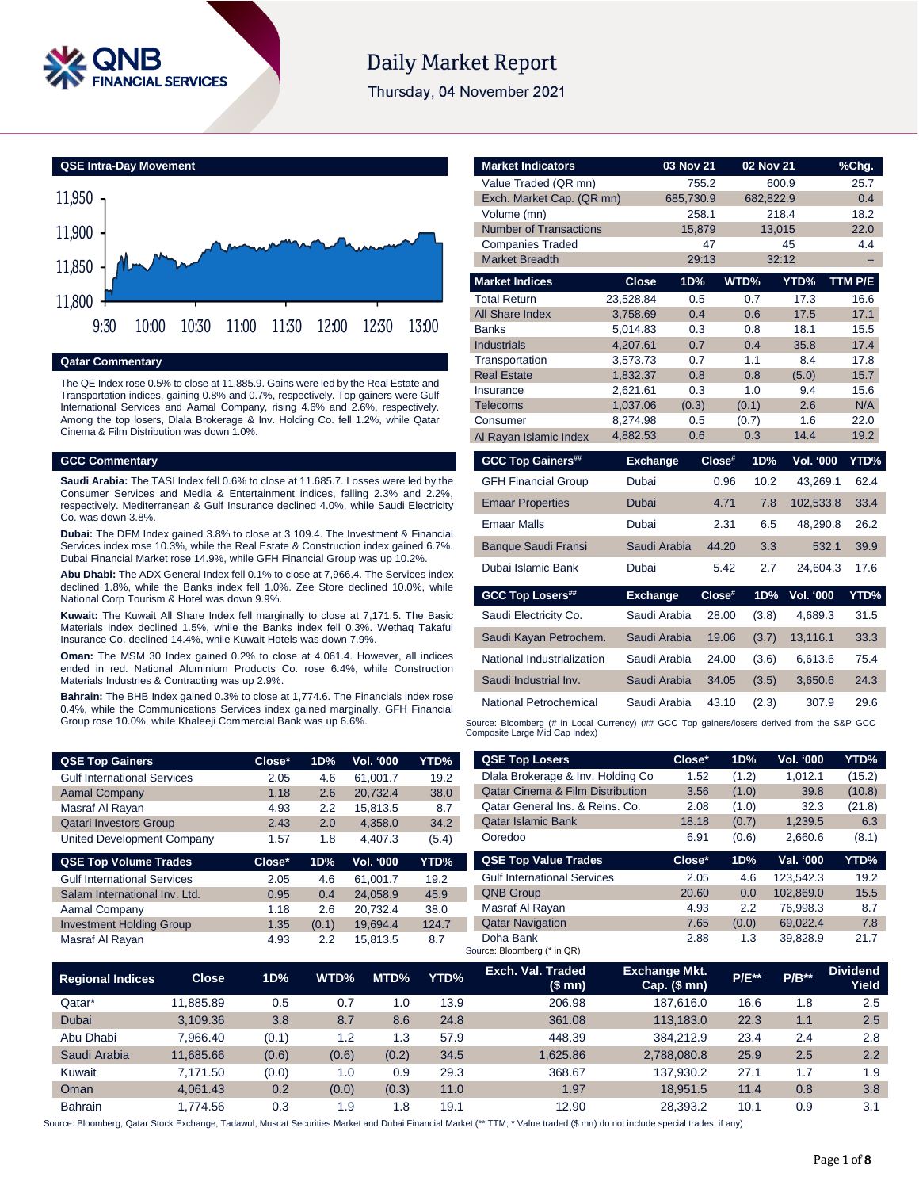

# **Daily Market Report**

Thursday, 04 November 2021



#### **Qatar Commentary**

The QE Index rose 0.5% to close at 11,885.9. Gains were led by the Real Estate and Transportation indices, gaining 0.8% and 0.7%, respectively. Top gainers were Gulf International Services and Aamal Company, rising 4.6% and 2.6%, respectively. Among the top losers, Dlala Brokerage & Inv. Holding Co. fell 1.2%, while Qatar Cinema & Film Distribution was down 1.0%.

### **GCC Commentary**

**Saudi Arabia:** The TASI Index fell 0.6% to close at 11.685.7. Losses were led by the Consumer Services and Media & Entertainment indices, falling 2.3% and 2.2%, respectively. Mediterranean & Gulf Insurance declined 4.0%, while Saudi Electricity Co. was down 3.8%.

**Dubai:** The DFM Index gained 3.8% to close at 3,109.4. The Investment & Financial Services index rose 10.3%, while the Real Estate & Construction index gained 6.7%. Dubai Financial Market rose 14.9%, while GFH Financial Group was up 10.2%.

**Abu Dhabi:** The ADX General Index fell 0.1% to close at 7,966.4. The Services index declined 1.8%, while the Banks index fell 1.0%. Zee Store declined 10.0%, while National Corp Tourism & Hotel was down 9.9%.

**Kuwait:** The Kuwait All Share Index fell marginally to close at 7,171.5. The Basic Materials index declined 1.5%, while the Banks index fell 0.3%. Wethaq Takaful Insurance Co. declined 14.4%, while Kuwait Hotels was down 7.9%.

**Oman:** The MSM 30 Index gained 0.2% to close at 4,061.4. However, all indices ended in red. National Aluminium Products Co. rose 6.4%, while Construction Materials Industries & Contracting was up 2.9%.

**Bahrain:** The BHB Index gained 0.3% to close at 1,774.6. The Financials index rose 0.4%, while the Communications Services index gained marginally. GFH Financial Group rose 10.0%, while Khaleeji Commercial Bank was up 6.6%.

| <b>QSE Top Gainers</b>             | Close* | 1D% | <b>Vol. '000</b> | YTD%  |
|------------------------------------|--------|-----|------------------|-------|
| <b>Gulf International Services</b> | 2.05   | 4.6 | 61.001.7         | 19.2  |
| <b>Aamal Company</b>               | 1.18   | 2.6 | 20.732.4         | 38.0  |
| Masraf Al Rayan                    | 4.93   | 2.2 | 15.813.5         | 8.7   |
| <b>Qatari Investors Group</b>      | 2.43   | 2.0 | 4.358.0          | 34.2  |
| United Development Company         | 1.57   | 1.8 | 4.407.3          | (5.4) |

| Close* | 1D%   | <b>Vol. '000</b> | YTD%  |
|--------|-------|------------------|-------|
| 2.05   | 46    | 61.001.7         | 19.2  |
| 0.95   | 0.4   | 24.058.9         | 45.9  |
| 1.18   | 2.6   | 20.732.4         | 38.0  |
| 1.35   | (0.1) | 19.694.4         | 124.7 |
| 4.93   | 22    | 15.813.5         | 8.7   |
|        |       |                  |       |

| <b>Market Indicators</b>      |                 | 03 Nov 21    |           | 02 Nov 21 |                  | %Chg.   |
|-------------------------------|-----------------|--------------|-----------|-----------|------------------|---------|
| Value Traded (QR mn)          |                 |              | 755.2     |           | 600.9            | 25.7    |
| Exch. Market Cap. (QR mn)     |                 | 685,730.9    |           | 682,822.9 |                  | 0.4     |
| Volume (mn)                   |                 |              | 258.1     |           | 218.4            | 18.2    |
| <b>Number of Transactions</b> |                 | 15,879       |           |           | 13,015           | 22.0    |
| <b>Companies Traded</b>       |                 |              | 47        |           | 45               | 4.4     |
| <b>Market Breadth</b>         |                 |              | 29:13     |           | 32:12            |         |
| <b>Market Indices</b>         | <b>Close</b>    | 1D%          |           | WTD%      | YTD%             | TTM P/E |
| <b>Total Return</b>           | 23,528.84       | 0.5          |           | 0.7       | 17.3             | 16.6    |
| <b>All Share Index</b>        | 3,758.69        | 0.4          |           | 0.6       | 17.5             | 17.1    |
| <b>Banks</b>                  | 5,014.83        | 0.3          |           | 0.8       | 18.1             | 15.5    |
| <b>Industrials</b>            | 4,207.61        | 0.7          |           | 0.4       | 35.8             | 17.4    |
| Transportation                | 3,573.73        | 0.7          |           | 1.1       | 8.4              | 17.8    |
| <b>Real Estate</b>            | 1,832.37        | 0.8          |           | 0.8       | (5.0)            | 15.7    |
| Insurance                     | 2,621.61        | 0.3          |           | 1.0       | 9.4              | 15.6    |
| <b>Telecoms</b>               | 1,037.06        | (0.3)        |           | (0.1)     | 2.6              | N/A     |
| Consumer                      | 8,274.98        | 0.5          |           | (0.7)     | 1.6              | 22.0    |
| Al Rayan Islamic Index        | 4,882.53        | 0.6          |           | 0.3       | 14.4             | 19.2    |
| <b>GCC Top Gainers##</b>      | <b>Exchange</b> |              | Close#    | 1D%       | <b>Vol. '000</b> | YTD%    |
| <b>GFH Financial Group</b>    | Dubai           |              | 0.96      | 10.2      | 43,269.1         | 62.4    |
| <b>Emaar Properties</b>       | <b>Dubai</b>    |              | 4.71      | 7.8       | 102,533.8        | 33.4    |
| <b>Emaar Malls</b>            | Dubai           |              | 2.31      | 6.5       | 48,290.8         | 26.2    |
| <b>Banque Saudi Fransi</b>    |                 | Saudi Arabia | 44.20     | 3.3       | 532.1            | 39.9    |
| Dubai Islamic Bank            | Dubai           |              | 5.42      | 2.7       | 24,604.3         | 17.6    |
| <b>GCC Top Losers##</b>       | <b>Exchange</b> |              | $Close^*$ | 1D%       | <b>Vol. '000</b> | YTD%    |
| Saudi Electricity Co.         |                 | Saudi Arabia | 28.00     | (3.8)     | 4,689.3          | 31.5    |
| Saudi Kayan Petrochem.        |                 | Saudi Arabia | 19.06     | (3.7)     | 13,116.1         | 33.3    |
| National Industrialization    |                 | Saudi Arabia | 24.00     | (3.6)     | 6,613.6          | 75.4    |
| Saudi Industrial Inv.         |                 | Saudi Arabia | 34.05     | (3.5)     | 3,650.6          | 24.3    |
| <b>National Petrochemical</b> |                 | Saudi Arabia | 43.10     | (2.3)     | 307.9            | 29.6    |

Source: Bloomberg (# in Local Currency) (## GCC Top gainers/losers derived from the S&P GCC<br>Composite Large Mid Cap Index)

| <b>QSE Top Losers</b>                       | Close* | 1D%   | <b>Vol. '000</b> | YTD%   |
|---------------------------------------------|--------|-------|------------------|--------|
| Dlala Brokerage & Inv. Holding Co.          | 1.52   | (1.2) | 1.012.1          | (15.2) |
| <b>Qatar Cinema &amp; Film Distribution</b> | 3.56   | (1.0) | 39.8             | (10.8) |
| Oatar General Ins. & Reins. Co.             | 2.08   | (1.0) | 32.3             | (21.8) |
| <b>Qatar Islamic Bank</b>                   | 18.18  | (0.7) | 1,239.5          | 6.3    |
| Ooredoo                                     | 6.91   | (0.6) | 2,660.6          | (8.1)  |
|                                             |        |       |                  |        |
| <b>QSE Top Value Trades</b>                 | Close* | 1D%   | Val. '000        | YTD%   |
| <b>Gulf International Services</b>          | 2.05   | 4.6   | 123.542.3        | 19.2   |
| <b>QNB Group</b>                            | 20.60  | 0.0   | 102.869.0        | 15.5   |
| Masraf Al Rayan                             | 4.93   | 2.2   | 76.998.3         | 8.7    |
| <b>Qatar Navigation</b>                     | 7.65   | (0.0) | 69.022.4         | 7.8    |

| <b>Regional Indices</b> | <b>Close</b> | 1D%   | WTD%  | MTD%  | YTD% | Exch. Val. Traded<br>(\$ mn) | <b>Exchange Mkt.</b><br>$Cap.$ (\$ mn) | <b>P/E**</b> | $P/B**$ | <b>Dividend</b><br>Yield |
|-------------------------|--------------|-------|-------|-------|------|------------------------------|----------------------------------------|--------------|---------|--------------------------|
| Qatar*                  | 11.885.89    | 0.5   | 0.7   | 0. ا  | 13.9 | 206.98                       | 187.616.0                              | 16.6         | 1.8     | 2.5                      |
| <b>Dubai</b>            | 3.109.36     | 3.8   | 8.7   | 8.6   | 24.8 | 361.08                       | 113.183.0                              | 22.3         | 1.1     | 2.5                      |
| Abu Dhabi               | 7.966.40     | (0.1) | 1.2   | 1.3   | 57.9 | 448.39                       | 384.212.9                              | 23.4         | 2.4     | 2.8                      |
| Saudi Arabia            | 11.685.66    | (0.6) | (0.6) | (0.2) | 34.5 | 1.625.86                     | 2.788.080.8                            | 25.9         | 2.5     | 2.2                      |
| Kuwait                  | 7.171.50     | (0.0) | 1.0   | 0.9   | 29.3 | 368.67                       | 137.930.2                              | 27.1         | 1.7     | 1.9                      |
| Oman                    | 4.061.43     | 0.2   | (0.0) | (0.3) | 11.0 | 1.97                         | 18.951.5                               | 11.4         | 0.8     | 3.8                      |
| <b>Bahrain</b>          | 1.774.56     | 0.3   | 1.9   | . 8   | 19.1 | 12.90                        | 28.393.2                               | 10.1         | 0.9     | 3.1                      |

Source: Bloomberg, Qatar Stock Exchange, Tadawul, Muscat Securities Market and Dubai Financial Market (\*\* TTM; \* Value traded (\$ mn) do not include special trades, if any)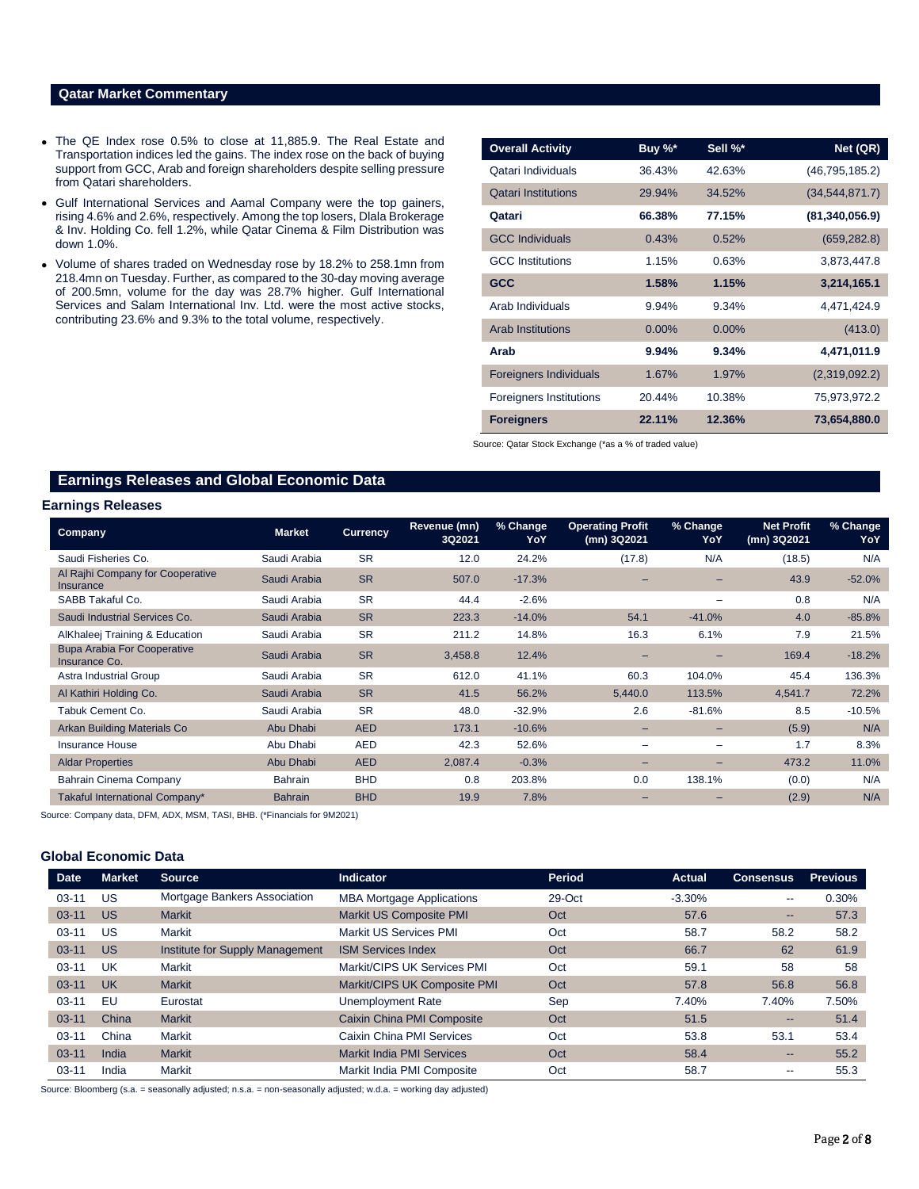# **Qatar Market Commentary**

- The QE Index rose 0.5% to close at 11,885.9. The Real Estate and Transportation indices led the gains. The index rose on the back of buying support from GCC, Arab and foreign shareholders despite selling pressure from Qatari shareholders.
- Gulf International Services and Aamal Company were the top gainers, rising 4.6% and 2.6%, respectively. Among the top losers, Dlala Brokerage & Inv. Holding Co. fell 1.2%, while Qatar Cinema & Film Distribution was down 1.0%.
- Volume of shares traded on Wednesday rose by 18.2% to 258.1mn from 218.4mn on Tuesday. Further, as compared to the 30-day moving average of 200.5mn, volume for the day was 28.7% higher. Gulf International Services and Salam International Inv. Ltd. were the most active stocks, contributing 23.6% and 9.3% to the total volume, respectively.

| <b>Overall Activity</b>        | Buy %*   | Sell %*  | Net (QR)         |
|--------------------------------|----------|----------|------------------|
| Qatari Individuals             | 36.43%   | 42.63%   | (46, 795, 185.2) |
| <b>Qatari Institutions</b>     | 29.94%   | 34.52%   | (34, 544, 871.7) |
| Qatari                         | 66.38%   | 77.15%   | (81, 340, 056.9) |
| <b>GCC Individuals</b>         | 0.43%    | 0.52%    | (659, 282.8)     |
| <b>GCC Institutions</b>        | 1.15%    | 0.63%    | 3,873,447.8      |
| <b>GCC</b>                     | 1.58%    | 1.15%    | 3,214,165.1      |
| Arab Individuals               | 9.94%    | 9.34%    | 4,471,424.9      |
| <b>Arab Institutions</b>       | $0.00\%$ | $0.00\%$ | (413.0)          |
| Arab                           | 9.94%    | 9.34%    | 4,471,011.9      |
| <b>Foreigners Individuals</b>  | 1.67%    | 1.97%    | (2,319,092.2)    |
| <b>Foreigners Institutions</b> | 20.44%   | 10.38%   | 75,973,972.2     |
| <b>Foreigners</b>              | 22.11%   | 12.36%   | 73,654,880.0     |

Source: Qatar Stock Exchange (\*as a % of traded value)

# **Earnings Releases and Global Economic Data**

### **Earnings Releases**

| <b>Company</b>                                      | <b>Market</b>  | <b>Currency</b> | Revenue (mn)<br>3Q2021 | % Change<br>YoY | <b>Operating Profit</b><br>(mn) 3Q2021 | % Change<br>YoY | <b>Net Profit</b><br>(mn) 3Q2021 | % Change<br>YoY |
|-----------------------------------------------------|----------------|-----------------|------------------------|-----------------|----------------------------------------|-----------------|----------------------------------|-----------------|
| Saudi Fisheries Co.                                 | Saudi Arabia   | <b>SR</b>       | 12.0                   | 24.2%           | (17.8)                                 | N/A             | (18.5)                           | N/A             |
| Al Rajhi Company for Cooperative<br>Insurance       | Saudi Arabia   | <b>SR</b>       | 507.0                  | $-17.3%$        |                                        |                 | 43.9                             | $-52.0%$        |
| SABB Takaful Co.                                    | Saudi Arabia   | <b>SR</b>       | 44.4                   | $-2.6%$         |                                        |                 | 0.8                              | N/A             |
| Saudi Industrial Services Co.                       | Saudi Arabia   | <b>SR</b>       | 223.3                  | $-14.0%$        | 54.1                                   | $-41.0%$        | 4.0                              | $-85.8%$        |
| AlKhaleej Training & Education                      | Saudi Arabia   | <b>SR</b>       | 211.2                  | 14.8%           | 16.3                                   | 6.1%            | 7.9                              | 21.5%           |
| <b>Bupa Arabia For Cooperative</b><br>Insurance Co. | Saudi Arabia   | <b>SR</b>       | 3,458.8                | 12.4%           |                                        |                 | 169.4                            | $-18.2%$        |
| Astra Industrial Group                              | Saudi Arabia   | <b>SR</b>       | 612.0                  | 41.1%           | 60.3                                   | 104.0%          | 45.4                             | 136.3%          |
| Al Kathiri Holding Co.                              | Saudi Arabia   | <b>SR</b>       | 41.5                   | 56.2%           | 5,440.0                                | 113.5%          | 4,541.7                          | 72.2%           |
| Tabuk Cement Co.                                    | Saudi Arabia   | <b>SR</b>       | 48.0                   | $-32.9%$        | 2.6                                    | $-81.6%$        | 8.5                              | $-10.5%$        |
| <b>Arkan Building Materials Co</b>                  | Abu Dhabi      | <b>AED</b>      | 173.1                  | $-10.6%$        | $\overline{\phantom{0}}$               | -               | (5.9)                            | N/A             |
| Insurance House                                     | Abu Dhabi      | <b>AED</b>      | 42.3                   | 52.6%           | $\overline{\phantom{0}}$               | -               | 1.7                              | 8.3%            |
| <b>Aldar Properties</b>                             | Abu Dhabi      | <b>AED</b>      | 2,087.4                | $-0.3%$         | $\overline{\phantom{0}}$               | -               | 473.2                            | 11.0%           |
| Bahrain Cinema Company                              | Bahrain        | <b>BHD</b>      | 0.8                    | 203.8%          | 0.0                                    | 138.1%          | (0.0)                            | N/A             |
| Takaful International Company*                      | <b>Bahrain</b> | <b>BHD</b>      | 19.9                   | 7.8%            |                                        |                 | (2.9)                            | N/A             |

Source: Company data, DFM, ADX, MSM, TASI, BHB. (\*Financials for 9M2021)

#### **Global Economic Data**

| <b>Date</b> | <b>Market</b> | <b>Source</b>                   | <b>Indicator</b>                 | Period | <b>Actual</b> | <b>Consensus</b>         | <b>Previous</b> |
|-------------|---------------|---------------------------------|----------------------------------|--------|---------------|--------------------------|-----------------|
| $03 - 11$   | US            | Mortgage Bankers Association    | <b>MBA Mortgage Applications</b> | 29-Oct | $-3.30%$      | $\overline{\phantom{a}}$ | 0.30%           |
| $03 - 11$   | <b>US</b>     | <b>Markit</b>                   | Markit US Composite PMI          | Oct    | 57.6          | $\qquad \qquad \cdots$   | 57.3            |
| $03 - 11$   | US            | Markit                          | <b>Markit US Services PMI</b>    | Oct    | 58.7          | 58.2                     | 58.2            |
| $03 - 11$   | <b>US</b>     | Institute for Supply Management | <b>ISM Services Index</b>        | Oct    | 66.7          | 62                       | 61.9            |
| $03 - 11$   | UK            | Markit                          | Markit/CIPS UK Services PMI      | Oct    | 59.1          | 58                       | 58              |
| $03 - 11$   | <b>UK</b>     | <b>Markit</b>                   | Markit/CIPS UK Composite PMI     | Oct    | 57.8          | 56.8                     | 56.8            |
| $03 - 11$   | EU            | Eurostat                        | Unemployment Rate                | Sep    | 7.40%         | 7.40%                    | 7.50%           |
| $03 - 11$   | China         | <b>Markit</b>                   | Caixin China PMI Composite       | Oct    | 51.5          | --                       | 51.4            |
| $03 - 11$   | China         | <b>Markit</b>                   | Caixin China PMI Services        | Oct    | 53.8          | 53.1                     | 53.4            |
| $03 - 11$   | India         | <b>Markit</b>                   | <b>Markit India PMI Services</b> | Oct    | 58.4          | $\qquad \qquad \cdots$   | 55.2            |
| $03 - 11$   | India         | Markit                          | Markit India PMI Composite       | Oct    | 58.7          | $\overline{\phantom{a}}$ | 55.3            |

Source: Bloomberg (s.a. = seasonally adjusted; n.s.a. = non-seasonally adjusted; w.d.a. = working day adjusted)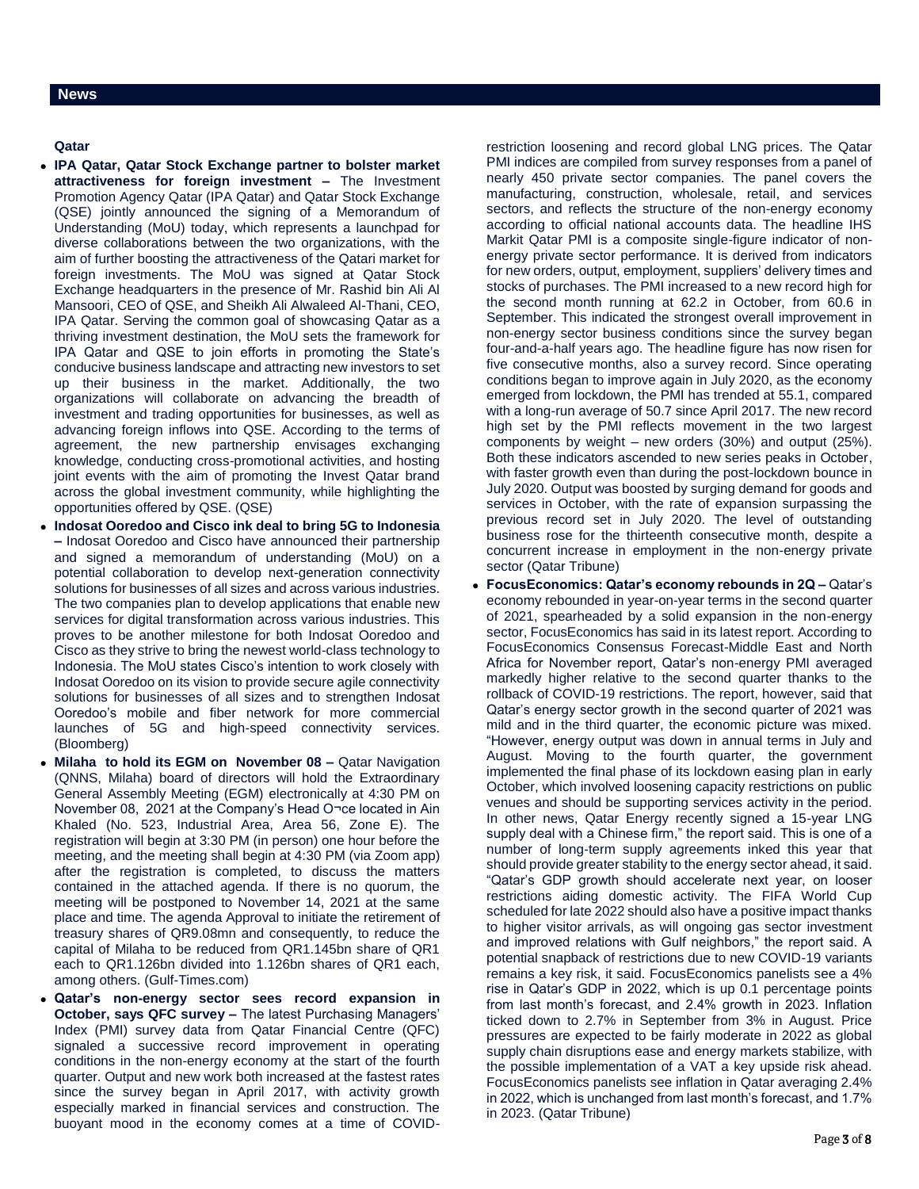## **Qatar**

- **IPA Qatar, Qatar Stock Exchange partner to bolster market attractiveness for foreign investment –** The Investment Promotion Agency Qatar (IPA Qatar) and Qatar Stock Exchange (QSE) jointly announced the signing of a Memorandum of Understanding (MoU) today, which represents a launchpad for diverse collaborations between the two organizations, with the aim of further boosting the attractiveness of the Qatari market for foreign investments. The MoU was signed at Qatar Stock Exchange headquarters in the presence of Mr. Rashid bin Ali Al Mansoori, CEO of QSE, and Sheikh Ali Alwaleed Al-Thani, CEO, IPA Qatar. Serving the common goal of showcasing Qatar as a thriving investment destination, the MoU sets the framework for IPA Qatar and QSE to join efforts in promoting the State's conducive business landscape and attracting new investors to set up their business in the market. Additionally, the two organizations will collaborate on advancing the breadth of investment and trading opportunities for businesses, as well as advancing foreign inflows into QSE. According to the terms of agreement, the new partnership envisages exchanging knowledge, conducting cross-promotional activities, and hosting joint events with the aim of promoting the Invest Qatar brand across the global investment community, while highlighting the opportunities offered by QSE. (QSE)
- **Indosat Ooredoo and Cisco ink deal to bring 5G to Indonesia –** Indosat Ooredoo and Cisco have announced their partnership and signed a memorandum of understanding (MoU) on a potential collaboration to develop next-generation connectivity solutions for businesses of all sizes and across various industries. The two companies plan to develop applications that enable new services for digital transformation across various industries. This proves to be another milestone for both Indosat Ooredoo and Cisco as they strive to bring the newest world-class technology to Indonesia. The MoU states Cisco's intention to work closely with Indosat Ooredoo on its vision to provide secure agile connectivity solutions for businesses of all sizes and to strengthen Indosat Ooredoo's mobile and fiber network for more commercial launches of 5G and high-speed connectivity services. (Bloomberg)
- **Milaha to hold its EGM on November 08 –** Qatar Navigation (QNNS, Milaha) board of directors will hold the Extraordinary General Assembly Meeting (EGM) electronically at 4:30 PM on November 08, 2021 at the Company's Head O¬ce located in Ain Khaled (No. 523, Industrial Area, Area 56, Zone E). The registration will begin at 3:30 PM (in person) one hour before the meeting, and the meeting shall begin at 4:30 PM (via Zoom app) after the registration is completed, to discuss the matters contained in the attached agenda. If there is no quorum, the meeting will be postponed to November 14, 2021 at the same place and time. The agenda Approval to initiate the retirement of treasury shares of QR9.08mn and consequently, to reduce the capital of Milaha to be reduced from QR1.145bn share of QR1 each to QR1.126bn divided into 1.126bn shares of QR1 each, among others. (Gulf-Times.com)
- **Qatar's non-energy sector sees record expansion in October, says QFC survey –** The latest Purchasing Managers' Index (PMI) survey data from Qatar Financial Centre (QFC) signaled a successive record improvement in operating conditions in the non-energy economy at the start of the fourth quarter. Output and new work both increased at the fastest rates since the survey began in April 2017, with activity growth especially marked in financial services and construction. The buoyant mood in the economy comes at a time of COVID-

restriction loosening and record global LNG prices. The Qatar PMI indices are compiled from survey responses from a panel of nearly 450 private sector companies. The panel covers the manufacturing, construction, wholesale, retail, and services sectors, and reflects the structure of the non-energy economy according to official national accounts data. The headline IHS Markit Qatar PMI is a composite single-figure indicator of nonenergy private sector performance. It is derived from indicators for new orders, output, employment, suppliers' delivery times and stocks of purchases. The PMI increased to a new record high for the second month running at 62.2 in October, from 60.6 in September. This indicated the strongest overall improvement in non-energy sector business conditions since the survey began four-and-a-half years ago. The headline figure has now risen for five consecutive months, also a survey record. Since operating conditions began to improve again in July 2020, as the economy emerged from lockdown, the PMI has trended at 55.1, compared with a long-run average of 50.7 since April 2017. The new record high set by the PMI reflects movement in the two largest components by weight – new orders (30%) and output (25%). Both these indicators ascended to new series peaks in October, with faster growth even than during the post-lockdown bounce in July 2020. Output was boosted by surging demand for goods and services in October, with the rate of expansion surpassing the previous record set in July 2020. The level of outstanding business rose for the thirteenth consecutive month, despite a concurrent increase in employment in the non-energy private sector (Qatar Tribune)

 **FocusEconomics: Qatar's economy rebounds in 2Q –** Qatar's economy rebounded in year-on-year terms in the second quarter of 2021, spearheaded by a solid expansion in the non-energy sector, FocusEconomics has said in its latest report. According to FocusEconomics Consensus Forecast-Middle East and North Africa for November report, Qatar's non-energy PMI averaged markedly higher relative to the second quarter thanks to the rollback of COVID-19 restrictions. The report, however, said that Qatar's energy sector growth in the second quarter of 2021 was mild and in the third quarter, the economic picture was mixed. "However, energy output was down in annual terms in July and August. Moving to the fourth quarter, the government implemented the final phase of its lockdown easing plan in early October, which involved loosening capacity restrictions on public venues and should be supporting services activity in the period. In other news, Qatar Energy recently signed a 15-year LNG supply deal with a Chinese firm," the report said. This is one of a number of long-term supply agreements inked this year that should provide greater stability to the energy sector ahead, it said. "Qatar's GDP growth should accelerate next year, on looser restrictions aiding domestic activity. The FIFA World Cup scheduled for late 2022 should also have a positive impact thanks to higher visitor arrivals, as will ongoing gas sector investment and improved relations with Gulf neighbors," the report said. A potential snapback of restrictions due to new COVID-19 variants remains a key risk, it said. FocusEconomics panelists see a 4% rise in Qatar's GDP in 2022, which is up 0.1 percentage points from last month's forecast, and 2.4% growth in 2023. Inflation ticked down to 2.7% in September from 3% in August. Price pressures are expected to be fairly moderate in 2022 as global supply chain disruptions ease and energy markets stabilize, with the possible implementation of a VAT a key upside risk ahead. FocusEconomics panelists see inflation in Qatar averaging 2.4% in 2022, which is unchanged from last month's forecast, and 1.7% in 2023. (Qatar Tribune)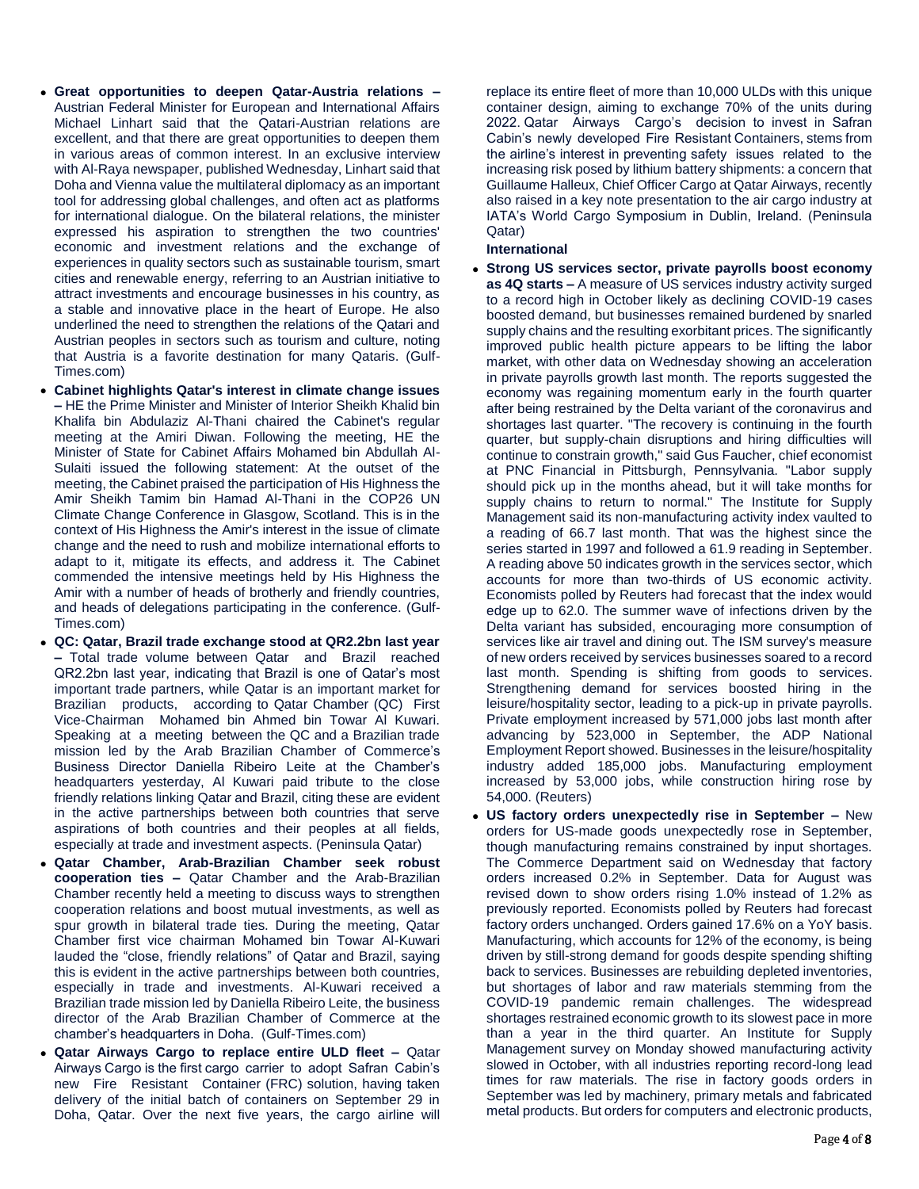- **Great opportunities to deepen Qatar-Austria relations –** Austrian Federal Minister for European and International Affairs Michael Linhart said that the Qatari-Austrian relations are excellent, and that there are great opportunities to deepen them in various areas of common interest. In an exclusive interview with Al-Raya newspaper, published Wednesday, Linhart said that Doha and Vienna value the multilateral diplomacy as an important tool for addressing global challenges, and often act as platforms for international dialogue. On the bilateral relations, the minister expressed his aspiration to strengthen the two countries' economic and investment relations and the exchange of experiences in quality sectors such as sustainable tourism, smart cities and renewable energy, referring to an Austrian initiative to attract investments and encourage businesses in his country, as a stable and innovative place in the heart of Europe. He also underlined the need to strengthen the relations of the Qatari and Austrian peoples in sectors such as tourism and culture, noting that Austria is a favorite destination for many Qataris. (Gulf-Times.com)
- **Cabinet highlights Qatar's interest in climate change issues –** HE the Prime Minister and Minister of Interior Sheikh Khalid bin Khalifa bin Abdulaziz Al-Thani chaired the Cabinet's regular meeting at the Amiri Diwan. Following the meeting, HE the Minister of State for Cabinet Affairs Mohamed bin Abdullah Al-Sulaiti issued the following statement: At the outset of the meeting, the Cabinet praised the participation of His Highness the Amir Sheikh Tamim bin Hamad Al-Thani in the COP26 UN Climate Change Conference in Glasgow, Scotland. This is in the context of His Highness the Amir's interest in the issue of climate change and the need to rush and mobilize international efforts to adapt to it, mitigate its effects, and address it. The Cabinet commended the intensive meetings held by His Highness the Amir with a number of heads of brotherly and friendly countries, and heads of delegations participating in the conference. (Gulf-Times.com)
- **QC: Qatar, Brazil trade exchange stood at QR2.2bn last year –** Total trade volume between Qatar and Brazil reached QR2.2bn last year, indicating that Brazil is one of Qatar's most important trade partners, while Qatar is an important market for Brazilian products, according to Qatar Chamber (QC) First Vice-Chairman Mohamed bin Ahmed bin Towar Al Kuwari. Speaking at a meeting between the QC and a Brazilian trade mission led by the Arab Brazilian Chamber of Commerce's Business Director Daniella Ribeiro Leite at the Chamber's headquarters yesterday, Al Kuwari paid tribute to the close friendly relations linking Qatar and Brazil, citing these are evident in the active partnerships between both countries that serve aspirations of both countries and their peoples at all fields, especially at trade and investment aspects. (Peninsula Qatar)
- **Qatar Chamber, Arab-Brazilian Chamber seek robust cooperation ties –** Qatar Chamber and the Arab-Brazilian Chamber recently held a meeting to discuss ways to strengthen cooperation relations and boost mutual investments, as well as spur growth in bilateral trade ties. During the meeting, Qatar Chamber first vice chairman Mohamed bin Towar Al-Kuwari lauded the "close, friendly relations" of Qatar and Brazil, saying this is evident in the active partnerships between both countries, especially in trade and investments. Al-Kuwari received a Brazilian trade mission led by Daniella Ribeiro Leite, the business director of the Arab Brazilian Chamber of Commerce at the chamber's headquarters in Doha. (Gulf-Times.com)
- **Qatar Airways Cargo to replace entire ULD fleet –** Qatar Airways Cargo is the first cargo carrier to adopt Safran Cabin's new Fire Resistant Container (FRC) solution, having taken delivery of the initial batch of containers on September 29 in Doha, Qatar. Over the next five years, the cargo airline will

replace its entire fleet of more than 10,000 ULDs with this unique container design, aiming to exchange 70% of the units during 2022. Qatar Airways Cargo's decision to invest in Safran Cabin's newly developed Fire Resistant Containers, stems from the airline's interest in preventing safety issues related to the increasing risk posed by lithium battery shipments: a concern that Guillaume Halleux, Chief Officer Cargo at Qatar Airways, recently also raised in a key note presentation to the air cargo industry at IATA's World Cargo Symposium in Dublin, Ireland. (Peninsula Qatar)

### **International**

- **Strong US services sector, private payrolls boost economy as 4Q starts –** A measure of US services industry activity surged to a record high in October likely as declining COVID-19 cases boosted demand, but businesses remained burdened by snarled supply chains and the resulting exorbitant prices. The significantly improved public health picture appears to be lifting the labor market, with other data on Wednesday showing an acceleration in private payrolls growth last month. The reports suggested the economy was regaining momentum early in the fourth quarter after being restrained by the Delta variant of the coronavirus and shortages last quarter. "The recovery is continuing in the fourth quarter, but supply-chain disruptions and hiring difficulties will continue to constrain growth," said Gus Faucher, chief economist at PNC Financial in Pittsburgh, Pennsylvania. "Labor supply should pick up in the months ahead, but it will take months for supply chains to return to normal." The Institute for Supply Management said its non-manufacturing activity index vaulted to a reading of 66.7 last month. That was the highest since the series started in 1997 and followed a 61.9 reading in September. A reading above 50 indicates growth in the services sector, which accounts for more than two-thirds of US economic activity. Economists polled by Reuters had forecast that the index would edge up to 62.0. The summer wave of infections driven by the Delta variant has subsided, encouraging more consumption of services like air travel and dining out. The ISM survey's measure of new orders received by services businesses soared to a record last month. Spending is shifting from goods to services. Strengthening demand for services boosted hiring in the leisure/hospitality sector, leading to a pick-up in private payrolls. Private employment increased by 571,000 jobs last month after advancing by 523,000 in September, the ADP National Employment Report showed. Businesses in the leisure/hospitality industry added 185,000 jobs. Manufacturing employment increased by 53,000 jobs, while construction hiring rose by 54,000. (Reuters)
- **US factory orders unexpectedly rise in September –** New orders for US-made goods unexpectedly rose in September, though manufacturing remains constrained by input shortages. The Commerce Department said on Wednesday that factory orders increased 0.2% in September. Data for August was revised down to show orders rising 1.0% instead of 1.2% as previously reported. Economists polled by Reuters had forecast factory orders unchanged. Orders gained 17.6% on a YoY basis. Manufacturing, which accounts for 12% of the economy, is being driven by still-strong demand for goods despite spending shifting back to services. Businesses are rebuilding depleted inventories, but shortages of labor and raw materials stemming from the COVID-19 pandemic remain challenges. The widespread shortages restrained economic growth to its slowest pace in more than a year in the third quarter. An Institute for Supply Management survey on Monday showed manufacturing activity slowed in October, with all industries reporting record-long lead times for raw materials. The rise in factory goods orders in September was led by machinery, primary metals and fabricated metal products. But orders for computers and electronic products,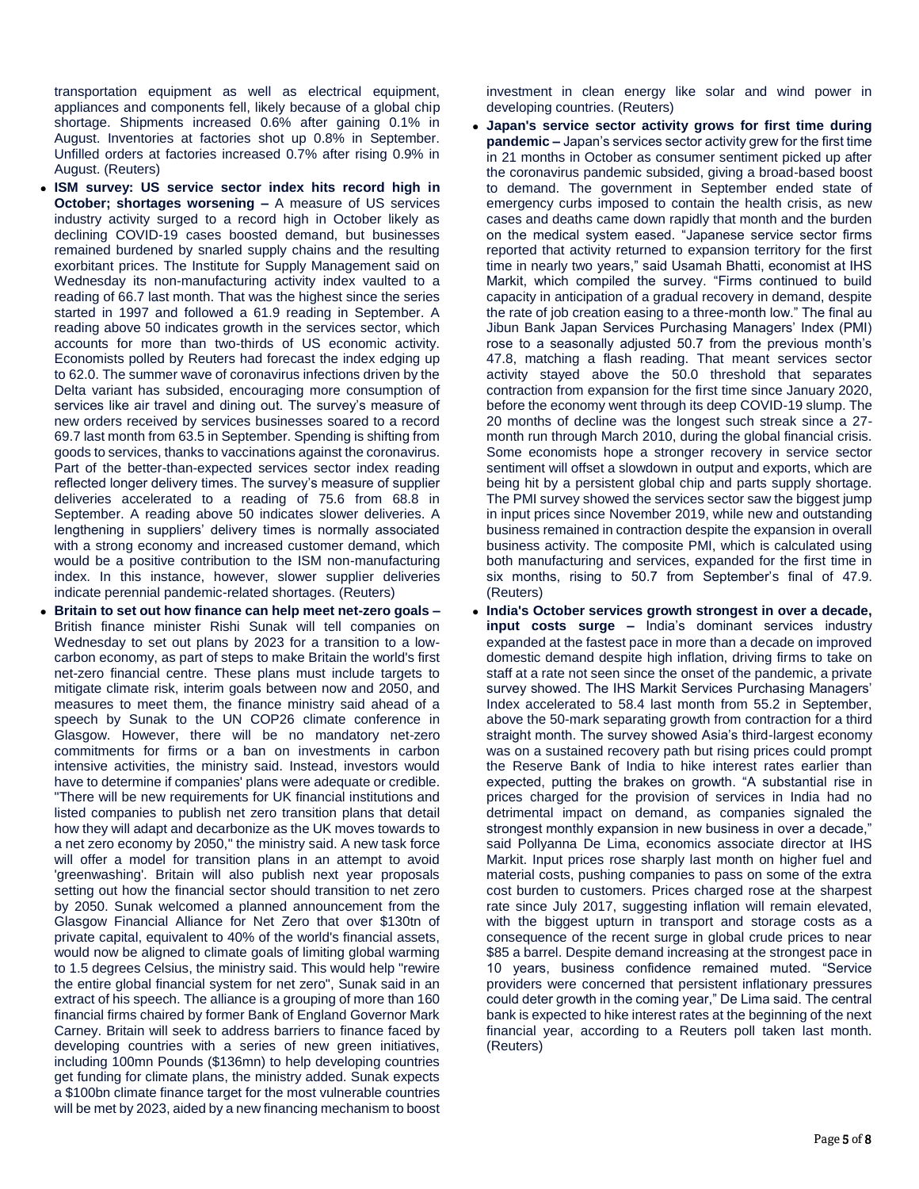transportation equipment as well as electrical equipment, appliances and components fell, likely because of a global chip shortage. Shipments increased 0.6% after gaining 0.1% in August. Inventories at factories shot up 0.8% in September. Unfilled orders at factories increased 0.7% after rising 0.9% in August. (Reuters)

- **ISM survey: US service sector index hits record high in October; shortages worsening –** A measure of US services industry activity surged to a record high in October likely as declining COVID-19 cases boosted demand, but businesses remained burdened by snarled supply chains and the resulting exorbitant prices. The Institute for Supply Management said on Wednesday its non-manufacturing activity index vaulted to a reading of 66.7 last month. That was the highest since the series started in 1997 and followed a 61.9 reading in September. A reading above 50 indicates growth in the services sector, which accounts for more than two-thirds of US economic activity. Economists polled by Reuters had forecast the index edging up to 62.0. The summer wave of coronavirus infections driven by the Delta variant has subsided, encouraging more consumption of services like air travel and dining out. The survey's measure of new orders received by services businesses soared to a record 69.7 last month from 63.5 in September. Spending is shifting from goods to services, thanks to vaccinations against the coronavirus. Part of the better-than-expected services sector index reading reflected longer delivery times. The survey's measure of supplier deliveries accelerated to a reading of 75.6 from 68.8 in September. A reading above 50 indicates slower deliveries. A lengthening in suppliers' delivery times is normally associated with a strong economy and increased customer demand, which would be a positive contribution to the ISM non-manufacturing index. In this instance, however, slower supplier deliveries indicate perennial pandemic-related shortages. (Reuters)
- **Britain to set out how finance can help meet net-zero goals –** British finance minister Rishi Sunak will tell companies on Wednesday to set out plans by 2023 for a transition to a lowcarbon economy, as part of steps to make Britain the world's first net-zero financial centre. These plans must include targets to mitigate climate risk, interim goals between now and 2050, and measures to meet them, the finance ministry said ahead of a speech by Sunak to the UN COP26 climate conference in Glasgow. However, there will be no mandatory net-zero commitments for firms or a ban on investments in carbon intensive activities, the ministry said. Instead, investors would have to determine if companies' plans were adequate or credible. "There will be new requirements for UK financial institutions and listed companies to publish net zero transition plans that detail how they will adapt and decarbonize as the UK moves towards to a net zero economy by 2050," the ministry said. A new task force will offer a model for transition plans in an attempt to avoid 'greenwashing'. Britain will also publish next year proposals setting out how the financial sector should transition to net zero by 2050. Sunak welcomed a planned announcement from the Glasgow Financial Alliance for Net Zero that over \$130tn of private capital, equivalent to 40% of the world's financial assets, would now be aligned to climate goals of limiting global warming to 1.5 degrees Celsius, the ministry said. This would help "rewire the entire global financial system for net zero", Sunak said in an extract of his speech. The alliance is a grouping of more than 160 financial firms chaired by former Bank of England Governor Mark Carney. Britain will seek to address barriers to finance faced by developing countries with a series of new green initiatives, including 100mn Pounds (\$136mn) to help developing countries get funding for climate plans, the ministry added. Sunak expects a \$100bn climate finance target for the most vulnerable countries will be met by 2023, aided by a new financing mechanism to boost

investment in clean energy like solar and wind power in developing countries. (Reuters)

- **Japan's service sector activity grows for first time during pandemic –** Japan's services sector activity grew for the first time in 21 months in October as consumer sentiment picked up after the coronavirus pandemic subsided, giving a broad-based boost to demand. The government in September ended state of emergency curbs imposed to contain the health crisis, as new cases and deaths came down rapidly that month and the burden on the medical system eased. "Japanese service sector firms reported that activity returned to expansion territory for the first time in nearly two years," said Usamah Bhatti, economist at IHS Markit, which compiled the survey. "Firms continued to build capacity in anticipation of a gradual recovery in demand, despite the rate of job creation easing to a three-month low." The final au Jibun Bank Japan Services Purchasing Managers' Index (PMI) rose to a seasonally adjusted 50.7 from the previous month's 47.8, matching a flash reading. That meant services sector activity stayed above the 50.0 threshold that separates contraction from expansion for the first time since January 2020, before the economy went through its deep COVID-19 slump. The 20 months of decline was the longest such streak since a 27 month run through March 2010, during the global financial crisis. Some economists hope a stronger recovery in service sector sentiment will offset a slowdown in output and exports, which are being hit by a persistent global chip and parts supply shortage. The PMI survey showed the services sector saw the biggest jump in input prices since November 2019, while new and outstanding business remained in contraction despite the expansion in overall business activity. The composite PMI, which is calculated using both manufacturing and services, expanded for the first time in six months, rising to 50.7 from September's final of 47.9. (Reuters)
- **India's October services growth strongest in over a decade, input costs surge –** India's dominant services industry expanded at the fastest pace in more than a decade on improved domestic demand despite high inflation, driving firms to take on staff at a rate not seen since the onset of the pandemic, a private survey showed. The IHS Markit Services Purchasing Managers' Index accelerated to 58.4 last month from 55.2 in September, above the 50-mark separating growth from contraction for a third straight month. The survey showed Asia's third-largest economy was on a sustained recovery path but rising prices could prompt the Reserve Bank of India to hike interest rates earlier than expected, putting the brakes on growth. "A substantial rise in prices charged for the provision of services in India had no detrimental impact on demand, as companies signaled the strongest monthly expansion in new business in over a decade," said Pollyanna De Lima, economics associate director at IHS Markit. Input prices rose sharply last month on higher fuel and material costs, pushing companies to pass on some of the extra cost burden to customers. Prices charged rose at the sharpest rate since July 2017, suggesting inflation will remain elevated, with the biggest upturn in transport and storage costs as a consequence of the recent surge in global crude prices to near \$85 a barrel. Despite demand increasing at the strongest pace in 10 years, business confidence remained muted. "Service providers were concerned that persistent inflationary pressures could deter growth in the coming year," De Lima said. The central bank is expected to hike interest rates at the beginning of the next financial year, according to a Reuters poll taken last month. (Reuters)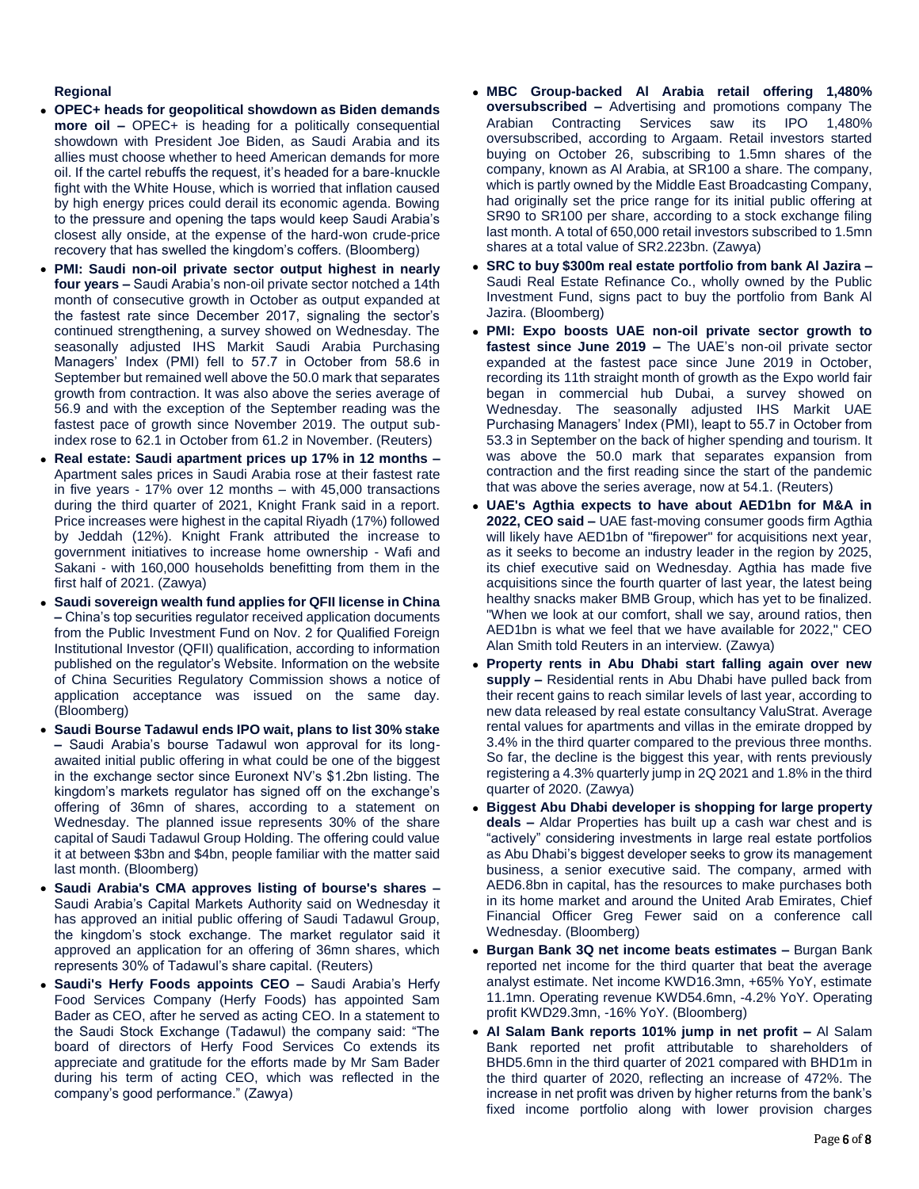# **Regional**

- **OPEC+ heads for geopolitical showdown as Biden demands more oil –** OPEC+ is heading for a politically consequential showdown with President Joe Biden, as Saudi Arabia and its allies must choose whether to heed American demands for more oil. If the cartel rebuffs the request, it's headed for a bare-knuckle fight with the White House, which is worried that inflation caused by high energy prices could derail its economic agenda. Bowing to the pressure and opening the taps would keep Saudi Arabia's closest ally onside, at the expense of the hard-won crude-price recovery that has swelled the kingdom's coffers. (Bloomberg)
- **PMI: Saudi non-oil private sector output highest in nearly four years –** Saudi Arabia's non-oil private sector notched a 14th month of consecutive growth in October as output expanded at the fastest rate since December 2017, signaling the sector's continued strengthening, a survey showed on Wednesday. The seasonally adjusted IHS Markit Saudi Arabia Purchasing Managers' Index (PMI) fell to 57.7 in October from 58.6 in September but remained well above the 50.0 mark that separates growth from contraction. It was also above the series average of 56.9 and with the exception of the September reading was the fastest pace of growth since November 2019. The output subindex rose to 62.1 in October from 61.2 in November. (Reuters)
- **Real estate: Saudi apartment prices up 17% in 12 months –** Apartment sales prices in Saudi Arabia rose at their fastest rate in five years - 17% over 12 months – with 45,000 transactions during the third quarter of 2021, Knight Frank said in a report. Price increases were highest in the capital Riyadh (17%) followed by Jeddah (12%). Knight Frank attributed the increase to government initiatives to increase home ownership - Wafi and Sakani - with 160,000 households benefitting from them in the first half of 2021. (Zawya)
- **Saudi sovereign wealth fund applies for QFII license in China –** China's top securities regulator received application documents from the Public Investment Fund on Nov. 2 for Qualified Foreign Institutional Investor (QFII) qualification, according to information published on the regulator's Website. Information on the website of China Securities Regulatory Commission shows a notice of application acceptance was issued on the same day. (Bloomberg)
- **Saudi Bourse Tadawul ends IPO wait, plans to list 30% stake –** Saudi Arabia's bourse Tadawul won approval for its longawaited initial public offering in what could be one of the biggest in the exchange sector since Euronext NV's \$1.2bn listing. The kingdom's markets regulator has signed off on the exchange's offering of 36mn of shares, according to a statement on Wednesday. The planned issue represents 30% of the share capital of Saudi Tadawul Group Holding. The offering could value it at between \$3bn and \$4bn, people familiar with the matter said last month. (Bloomberg)
- **Saudi Arabia's CMA approves listing of bourse's shares –** Saudi Arabia's Capital Markets Authority said on Wednesday it has approved an initial public offering of Saudi Tadawul Group, the kingdom's stock exchange. The market regulator said it approved an application for an offering of 36mn shares, which represents 30% of Tadawul's share capital. (Reuters)
- **Saudi's Herfy Foods appoints CEO –** Saudi Arabia's Herfy Food Services Company (Herfy Foods) has appointed Sam Bader as CEO, after he served as acting CEO. In a statement to the Saudi Stock Exchange (Tadawul) the company said: "The board of directors of Herfy Food Services Co extends its appreciate and gratitude for the efforts made by Mr Sam Bader during his term of acting CEO, which was reflected in the company's good performance." (Zawya)
- **MBC Group-backed Al Arabia retail offering 1,480% oversubscribed –** Advertising and promotions company The Arabian Contracting Services saw its IPO 1,480% oversubscribed, according to Argaam. Retail investors started buying on October 26, subscribing to 1.5mn shares of the company, known as Al Arabia, at SR100 a share. The company, which is partly owned by the Middle East Broadcasting Company, had originally set the price range for its initial public offering at SR90 to SR100 per share, according to a stock exchange filing last month. A total of 650,000 retail investors subscribed to 1.5mn shares at a total value of SR2.223bn. (Zawya)
- **SRC to buy \$300m real estate portfolio from bank Al Jazira –** Saudi Real Estate Refinance Co., wholly owned by the Public Investment Fund, signs pact to buy the portfolio from Bank Al Jazira. (Bloomberg)
- **PMI: Expo boosts UAE non-oil private sector growth to fastest since June 2019 –** The UAE's non-oil private sector expanded at the fastest pace since June 2019 in October, recording its 11th straight month of growth as the Expo world fair began in commercial hub Dubai, a survey showed on Wednesday. The seasonally adjusted IHS Markit UAE Purchasing Managers' Index (PMI), leapt to 55.7 in October from 53.3 in September on the back of higher spending and tourism. It was above the 50.0 mark that separates expansion from contraction and the first reading since the start of the pandemic that was above the series average, now at 54.1. (Reuters)
- **UAE's Agthia expects to have about AED1bn for M&A in 2022, CEO said –** UAE fast-moving consumer goods firm Agthia will likely have AED1bn of "firepower" for acquisitions next year, as it seeks to become an industry leader in the region by 2025, its chief executive said on Wednesday. Agthia has made five acquisitions since the fourth quarter of last year, the latest being healthy snacks maker BMB Group, which has yet to be finalized. "When we look at our comfort, shall we say, around ratios, then AED1bn is what we feel that we have available for 2022," CEO Alan Smith told Reuters in an interview. (Zawya)
- **Property rents in Abu Dhabi start falling again over new supply –** Residential rents in Abu Dhabi have pulled back from their recent gains to reach similar levels of last year, according to new data released by real estate consultancy ValuStrat. Average rental values for apartments and villas in the emirate dropped by 3.4% in the third quarter compared to the previous three months. So far, the decline is the biggest this year, with rents previously registering a 4.3% quarterly jump in 2Q 2021 and 1.8% in the third quarter of 2020. (Zawya)
- **Biggest Abu Dhabi developer is shopping for large property deals –** Aldar Properties has built up a cash war chest and is "actively" considering investments in large real estate portfolios as Abu Dhabi's biggest developer seeks to grow its management business, a senior executive said. The company, armed with AED6.8bn in capital, has the resources to make purchases both in its home market and around the United Arab Emirates, Chief Financial Officer Greg Fewer said on a conference call Wednesday. (Bloomberg)
- **Burgan Bank 3Q net income beats estimates –** Burgan Bank reported net income for the third quarter that beat the average analyst estimate. Net income KWD16.3mn, +65% YoY, estimate 11.1mn. Operating revenue KWD54.6mn, -4.2% YoY. Operating profit KWD29.3mn, -16% YoY. (Bloomberg)
- **Al Salam Bank reports 101% jump in net profit –** Al Salam Bank reported net profit attributable to shareholders of BHD5.6mn in the third quarter of 2021 compared with BHD1m in the third quarter of 2020, reflecting an increase of 472%. The increase in net profit was driven by higher returns from the bank's fixed income portfolio along with lower provision charges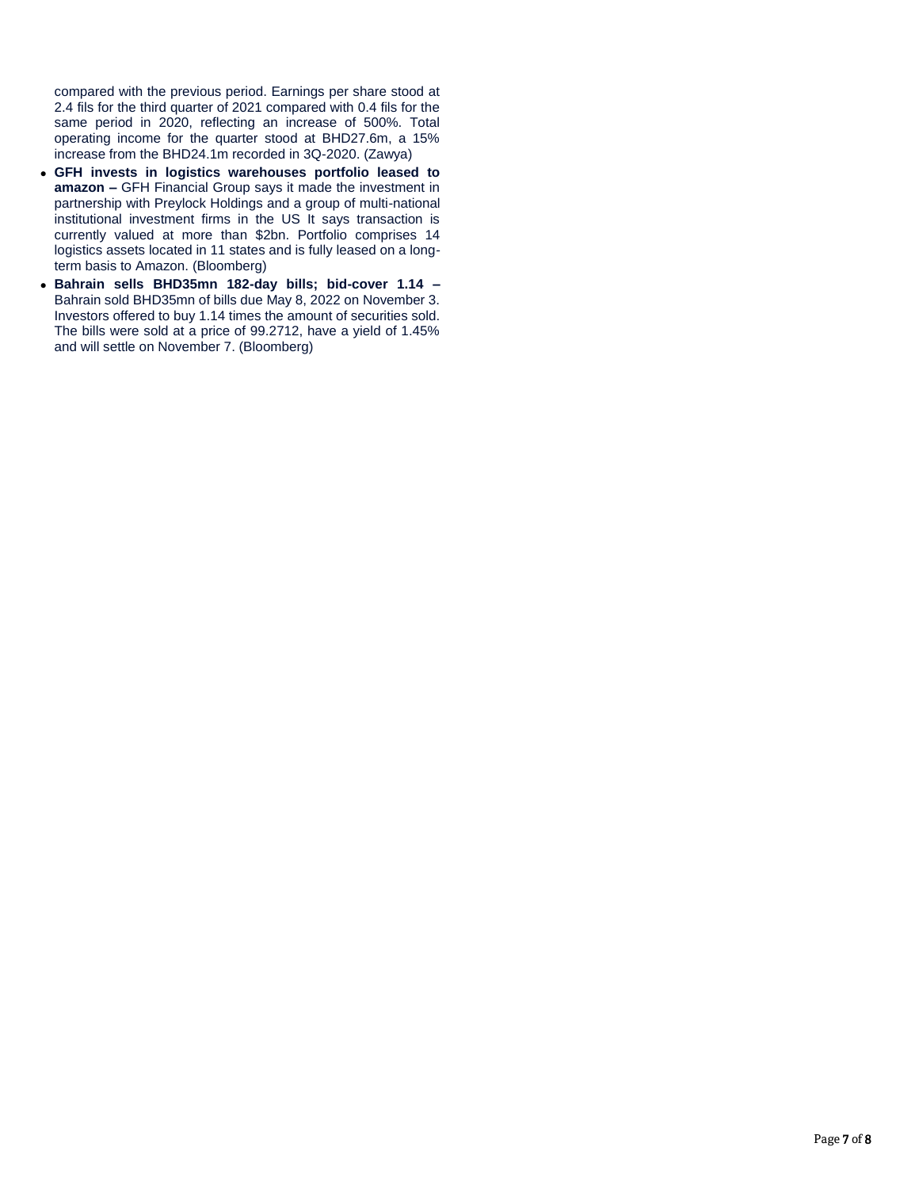compared with the previous period. Earnings per share stood at 2.4 fils for the third quarter of 2021 compared with 0.4 fils for the same period in 2020, reflecting an increase of 500%. Total operating income for the quarter stood at BHD27.6m, a 15% increase from the BHD24.1m recorded in 3Q-2020. (Zawya)

- **GFH invests in logistics warehouses portfolio leased to amazon –** GFH Financial Group says it made the investment in partnership with Preylock Holdings and a group of multi-national institutional investment firms in the US It says transaction is currently valued at more than \$2bn. Portfolio comprises 14 logistics assets located in 11 states and is fully leased on a longterm basis to Amazon. (Bloomberg)
- **Bahrain sells BHD35mn 182-day bills; bid-cover 1.14 –** Bahrain sold BHD35mn of bills due May 8, 2022 on November 3. Investors offered to buy 1.14 times the amount of securities sold. The bills were sold at a price of 99.2712, have a yield of 1.45% and will settle on November 7. (Bloomberg)